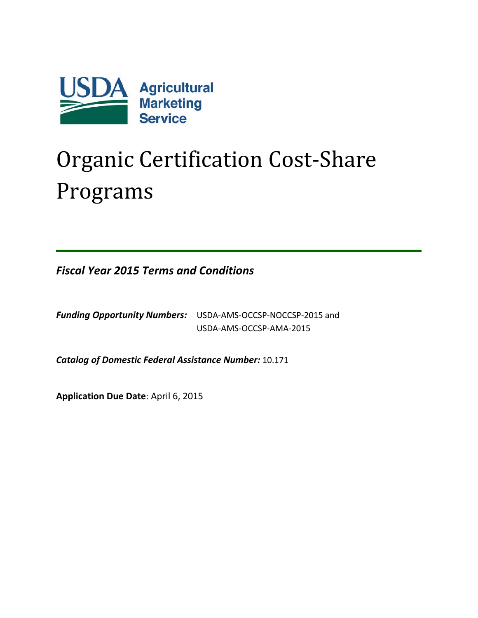

# Organic Certification Cost-Share Programs

*Fiscal Year 2015 Terms and Conditions*

*Funding Opportunity Numbers:* USDA-AMS-OCCSP-NOCCSP-2015 and USDA-AMS-OCCSP-AMA-2015

*Catalog of Domestic Federal Assistance Number:* 10.171

**Application Due Date**: April 6, 2015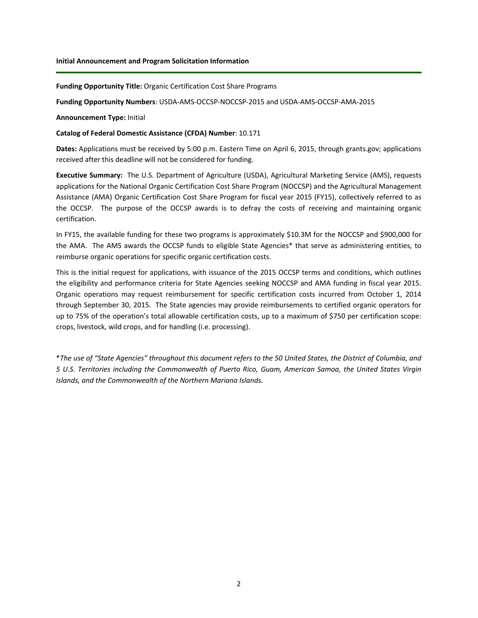**Funding Opportunity Title:** Organic Certification Cost Share Programs

**Funding Opportunity Numbers**: USDA-AMS-OCCSP-NOCCSP-2015 and USDA-AMS-OCCSP-AMA-2015

**Announcement Type:** Initial

#### **Catalog of Federal Domestic Assistance (CFDA) Number**: 10.171

**Dates:** Applications must be received by 5:00 p.m. Eastern Time on April 6, 2015, through grants.gov; applications received after this deadline will not be considered for funding.

**Executive Summary:** The U.S. Department of Agriculture (USDA), Agricultural Marketing Service (AMS), requests applications for the National Organic Certification Cost Share Program (NOCCSP) and the Agricultural Management Assistance (AMA) Organic Certification Cost Share Program for fiscal year 2015 (FY15), collectively referred to as the OCCSP. The purpose of the OCCSP awards is to defray the costs of receiving and maintaining organic certification.

In FY15, the available funding for these two programs is approximately \$10.3M for the NOCCSP and \$900,000 for the AMA. The AMS awards the OCCSP funds to eligible State Agencies\* that serve as administering entities, to reimburse organic operations for specific organic certification costs.

This is the initial request for applications, with issuance of the 2015 OCCSP terms and conditions, which outlines the eligibility and performance criteria for State Agencies seeking NOCCSP and AMA funding in fiscal year 2015. Organic operations may request reimbursement for specific certification costs incurred from October 1, 2014 through September 30, 2015. The State agencies may provide reimbursements to certified organic operators for up to 75% of the operation's total allowable certification costs, up to a maximum of \$750 per certification scope: crops, livestock, wild crops, and for handling (i.e. processing).

\**The use of "State Agencies" throughout this document refers to the 50 United States, the District of Columbia, and 5 U.S. Territories including the Commonwealth of Puerto Rico, Guam, American Samoa, the United States Virgin Islands, and the Commonwealth of the Northern Mariana Islands.*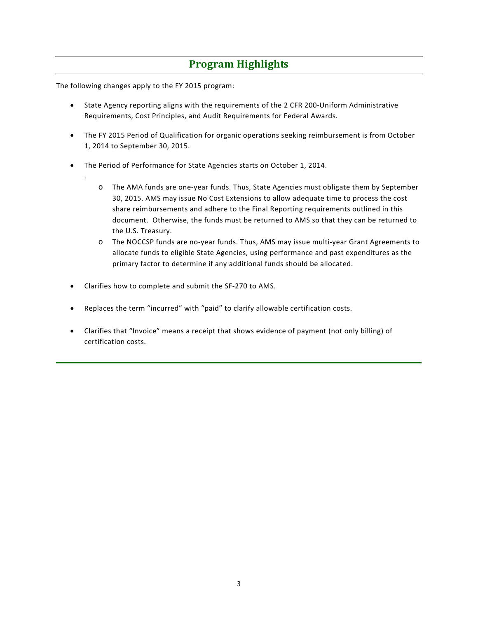# **Program Highlights**

The following changes apply to the FY 2015 program:

.

- State Agency reporting aligns with the requirements of the 2 CFR 200-Uniform Administrative Requirements, Cost Principles, and Audit Requirements for Federal Awards.
- The FY 2015 Period of Qualification for organic operations seeking reimbursement is from October 1, 2014 to September 30, 2015.
- The Period of Performance for State Agencies starts on October 1, 2014.
	- o The AMA funds are one-year funds. Thus, State Agencies must obligate them by September 30, 2015. AMS may issue No Cost Extensions to allow adequate time to process the cost share reimbursements and adhere to the Final Reporting requirements outlined in this document. Otherwise, the funds must be returned to AMS so that they can be returned to the U.S. Treasury.
	- o The NOCCSP funds are no-year funds. Thus, AMS may issue multi-year Grant Agreements to allocate funds to eligible State Agencies, using performance and past expenditures as the primary factor to determine if any additional funds should be allocated.
- Clarifies how to complete and submit the SF-270 to AMS.
- Replaces the term "incurred" with "paid" to clarify allowable certification costs.
- Clarifies that "Invoice" means a receipt that shows evidence of payment (not only billing) of certification costs.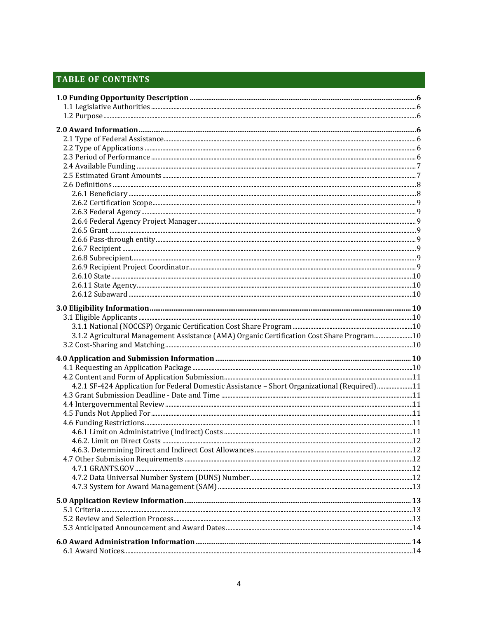# **TABLE OF CONTENTS**

| 3.1.2 Agricultural Management Assistance (AMA) Organic Certification Cost Share Program10     |  |
|-----------------------------------------------------------------------------------------------|--|
|                                                                                               |  |
|                                                                                               |  |
|                                                                                               |  |
|                                                                                               |  |
|                                                                                               |  |
| 4.2.1 SF-424 Application for Federal Domestic Assistance - Short Organizational (Required) 11 |  |
|                                                                                               |  |
|                                                                                               |  |
|                                                                                               |  |
|                                                                                               |  |
|                                                                                               |  |
|                                                                                               |  |
|                                                                                               |  |
|                                                                                               |  |
|                                                                                               |  |
|                                                                                               |  |
|                                                                                               |  |
|                                                                                               |  |
|                                                                                               |  |
|                                                                                               |  |
|                                                                                               |  |
|                                                                                               |  |
|                                                                                               |  |
|                                                                                               |  |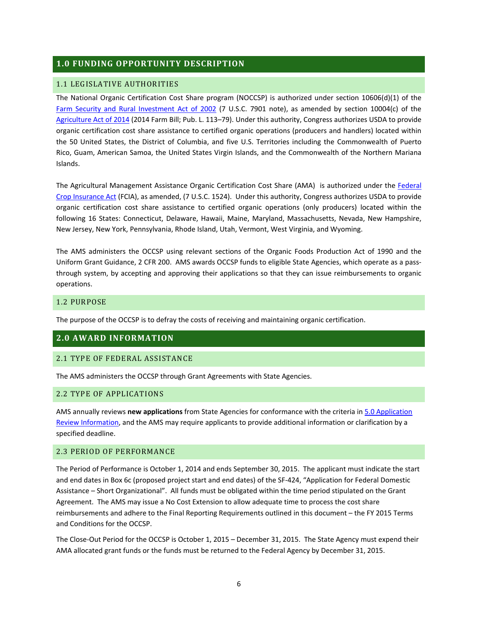# <span id="page-5-0"></span>**1.0 FUNDING OPPORTUNITY DESCRIPTION**

#### <span id="page-5-1"></span>1.1 LEGISLATIVE AUTHORITIES

The National Organic Certification Cost Share program (NOCCSP) is authorized under section 10606(d)(1) of the [Farm Security and Rural Investment Act of 2002](http://thomas.loc.gov/cgi-bin/query/z?c107:H.R.2646.ENR:) (7 U.S.C. 7901 note), as amended by section 10004(c) of the [Agriculture Act of 2014](http://www.gpo.gov/fdsys/pkg/BILLS-113hr2642enr/pdf/BILLS-113hr2642enr.pdf) (2014 Farm Bill; Pub. L. 113–79). Under this authority, Congress authorizes USDA to provide organic certification cost share assistance to certified organic operations (producers and handlers) located within the 50 United States, the District of Columbia, and five U.S. Territories including the Commonwealth of Puerto Rico, Guam, American Samoa, the United States Virgin Islands, and the Commonwealth of the Northern Mariana Islands.

The Agricultural Management Assistance Organic Certification Cost Share (AMA) is authorized under the [Federal](https://www.govtrack.us/congress/bills/103/hr4217/text)  [Crop Insurance Act](https://www.govtrack.us/congress/bills/103/hr4217/text) (FCIA), as amended, (7 U.S.C. 1524). Under this authority, Congress authorizes USDA to provide organic certification cost share assistance to certified organic operations (only producers) located within the following 16 States: Connecticut, Delaware, Hawaii, Maine, Maryland, Massachusetts, Nevada, New Hampshire, New Jersey, New York, Pennsylvania, Rhode Island, Utah, Vermont, West Virginia, and Wyoming.

The AMS administers the OCCSP using relevant sections of the Organic Foods Production Act of 1990 and the Uniform Grant Guidance, 2 CFR 200. AMS awards OCCSP funds to eligible State Agencies, which operate as a passthrough system, by accepting and approving their applications so that they can issue reimbursements to organic operations.

#### <span id="page-5-2"></span>1.2 PURPOSE

The purpose of the OCCSP is to defray the costs of receiving and maintaining organic certification.

#### <span id="page-5-3"></span>**2.0 AWARD INFORMATION**

#### <span id="page-5-4"></span>2.1 TYPE OF FEDERAL ASSISTANCE

The AMS administers the OCCSP through Grant Agreements with State Agencies.

#### <span id="page-5-5"></span>2.2 TYPE OF APPLICATIONS

AMS annually reviews **new applications** from State Agencies for conformance with the criteria in [5.0 Application](#page-12-1)  Review [Information,](#page-12-1) and the AMS may require applicants to provide additional information or clarification by a specified deadline.

#### <span id="page-5-6"></span>2.3 PERIOD OF PERFORMANCE

The Period of Performance is October 1, 2014 and ends September 30, 2015. The applicant must indicate the start and end dates in Box 6c (proposed project start and end dates) of the SF-424, "Application for Federal Domestic Assistance – Short Organizational". All funds must be obligated within the time period stipulated on the Grant Agreement. The AMS may issue a No Cost Extension to allow adequate time to process the cost share reimbursements and adhere to the Final Reporting Requirements outlined in this document – the FY 2015 Terms and Conditions for the OCCSP.

The Close-Out Period for the OCCSP is October 1, 2015 – December 31, 2015. The State Agency must expend their AMA allocated grant funds or the funds must be returned to the Federal Agency by December 31, 2015.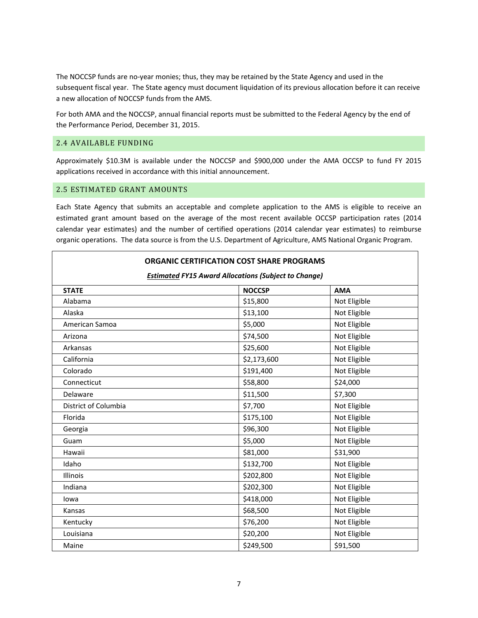The NOCCSP funds are no-year monies; thus, they may be retained by the State Agency and used in the subsequent fiscal year. The State agency must document liquidation of its previous allocation before it can receive a new allocation of NOCCSP funds from the AMS.

For both AMA and the NOCCSP, annual financial reports must be submitted to the Federal Agency by the end of the Performance Period, December 31, 2015.

#### <span id="page-6-0"></span>2.4 AVAILABLE FUNDING

Approximately \$10.3M is available under the NOCCSP and \$900,000 under the AMA OCCSP to fund FY 2015 applications received in accordance with this initial announcement.

#### <span id="page-6-1"></span>2.5 ESTIMATED GRANT AMOUNTS

Each State Agency that submits an acceptable and complete application to the AMS is eligible to receive an estimated grant amount based on the average of the most recent available OCCSP participation rates (2014 calendar year estimates) and the number of certified operations (2014 calendar year estimates) to reimburse organic operations. The data source is from the U.S. Department of Agriculture, AMS National Organic Program.

#### **ORGANIC CERTIFICATION COST SHARE PROGRAMS**

| <b>Estimated FY15 Award Allocations (Subject to Change)</b> |               |              |
|-------------------------------------------------------------|---------------|--------------|
| <b>STATE</b>                                                | <b>NOCCSP</b> | <b>AMA</b>   |
| Alabama                                                     | \$15,800      | Not Eligible |
| Alaska                                                      | \$13,100      | Not Eligible |
| American Samoa                                              | \$5,000       | Not Eligible |
| Arizona                                                     | \$74,500      | Not Eligible |
| Arkansas                                                    | \$25,600      | Not Eligible |
| California                                                  | \$2,173,600   | Not Eligible |
| Colorado                                                    | \$191,400     | Not Eligible |
| Connecticut                                                 | \$58,800      | \$24,000     |
| Delaware                                                    | \$11,500      | \$7,300      |
| District of Columbia                                        | \$7,700       | Not Eligible |
| Florida                                                     | \$175,100     | Not Eligible |
| Georgia                                                     | \$96,300      | Not Eligible |
| Guam                                                        | \$5,000       | Not Eligible |
| Hawaii                                                      | \$81,000      | \$31,900     |
| Idaho                                                       | \$132,700     | Not Eligible |
| Illinois                                                    | \$202,800     | Not Eligible |
| Indiana                                                     | \$202,300     | Not Eligible |
| lowa                                                        | \$418,000     | Not Eligible |
| Kansas                                                      | \$68,500      | Not Eligible |
| Kentucky                                                    | \$76,200      | Not Eligible |
| Louisiana                                                   | \$20,200      | Not Eligible |
| Maine                                                       | \$249,500     | \$91,500     |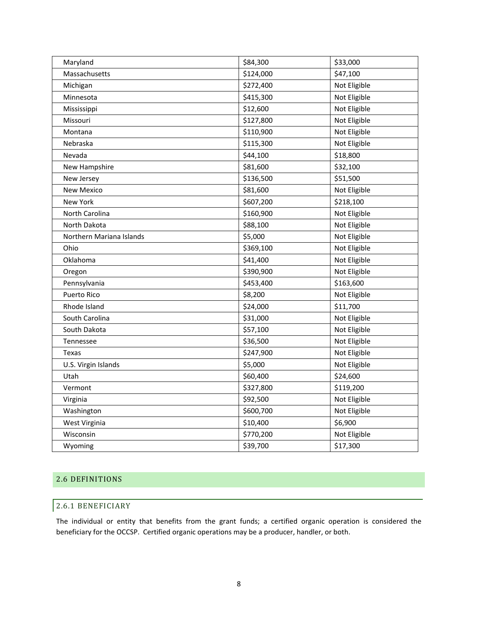| Maryland                 | \$84,300  | \$33,000     |
|--------------------------|-----------|--------------|
| Massachusetts            | \$124,000 | \$47,100     |
| Michigan                 | \$272,400 | Not Eligible |
| Minnesota                | \$415,300 | Not Eligible |
| Mississippi              | \$12,600  | Not Eligible |
| Missouri                 | \$127,800 | Not Eligible |
| Montana                  | \$110,900 | Not Eligible |
| Nebraska                 | \$115,300 | Not Eligible |
| Nevada                   | \$44,100  | \$18,800     |
| New Hampshire            | \$81,600  | \$32,100     |
| New Jersey               | \$136,500 | \$51,500     |
| New Mexico               | \$81,600  | Not Eligible |
| New York                 | \$607,200 | \$218,100    |
| North Carolina           | \$160,900 | Not Eligible |
| North Dakota             | \$88,100  | Not Eligible |
| Northern Mariana Islands | \$5,000   | Not Eligible |
| Ohio                     | \$369,100 | Not Eligible |
| Oklahoma                 | \$41,400  | Not Eligible |
| Oregon                   | \$390,900 | Not Eligible |
| Pennsylvania             | \$453,400 | \$163,600    |
| Puerto Rico              | \$8,200   | Not Eligible |
| Rhode Island             | \$24,000  | \$11,700     |
| South Carolina           | \$31,000  | Not Eligible |
| South Dakota             | \$57,100  | Not Eligible |
| Tennessee                | \$36,500  | Not Eligible |
| Texas                    | \$247,900 | Not Eligible |
| U.S. Virgin Islands      | \$5,000   | Not Eligible |
| Utah                     | \$60,400  | \$24,600     |
| Vermont                  | \$327,800 | \$119,200    |
| Virginia                 | \$92,500  | Not Eligible |
| Washington               | \$600,700 | Not Eligible |
| West Virginia            | \$10,400  | \$6,900      |
| Wisconsin                | \$770,200 | Not Eligible |
| Wyoming                  | \$39,700  | \$17,300     |

# <span id="page-7-0"></span>2.6 DEFINITIONS

# <span id="page-7-1"></span>2.6.1 BENEFICIARY

The individual or entity that benefits from the grant funds; a certified organic operation is considered the beneficiary for the OCCSP. Certified organic operations may be a producer, handler, or both.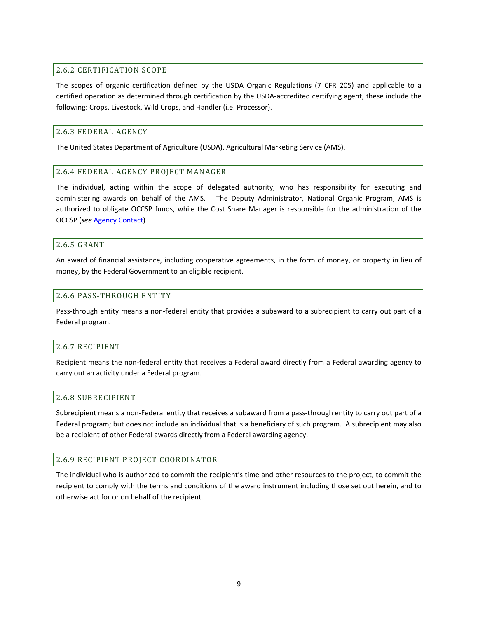#### <span id="page-8-0"></span>2.6.2 CERTIFICATION SCOPE

The scopes of organic certification defined by the USDA Organic Regulations (7 CFR 205) and applicable to a certified operation as determined through certification by the USDA-accredited certifying agent; these include the following: Crops, Livestock, Wild Crops, and Handler (i.e. Processor).

#### <span id="page-8-1"></span>2.6.3 FEDERAL AGENCY

The United States Department of Agriculture (USDA), Agricultural Marketing Service (AMS).

#### <span id="page-8-2"></span>2.6.4 FEDERAL AGENCY PROJECT MANAGER

The individual, acting within the scope of delegated authority, who has responsibility for executing and administering awards on behalf of the AMS. The Deputy Administrator, National Organic Program, AMS is authorized to obligate OCCSP funds, while the Cost Share Manager is responsible for the administration of the OCCSP (*see* [Agency Contact\)](#page-25-3)

#### <span id="page-8-3"></span>2.6.5 GRANT

An award of financial assistance, including cooperative agreements, in the form of money, or property in lieu of money, by the Federal Government to an eligible recipient.

#### <span id="page-8-4"></span>2.6.6 PASS-THROUGH ENTITY

Pass-through entity means a non-federal entity that provides a subaward to a subrecipient to carry out part of a Federal program.

#### <span id="page-8-5"></span>2.6.7 RECIPIENT

Recipient means the non-federal entity that receives a Federal award directly from a Federal awarding agency to carry out an activity under a Federal program.

#### <span id="page-8-6"></span>2.6.8 SUBRECIPIENT

Subrecipient means a non-Federal entity that receives a subaward from a pass-through entity to carry out part of a Federal program; but does not include an individual that is a beneficiary of such program. A subrecipient may also be a recipient of other Federal awards directly from a Federal awarding agency.

#### <span id="page-8-7"></span>2.6.9 RECIPIENT PROJECT COORDINATOR

The individual who is authorized to commit the recipient's time and other resources to the project, to commit the recipient to comply with the terms and conditions of the award instrument including those set out herein, and to otherwise act for or on behalf of the recipient.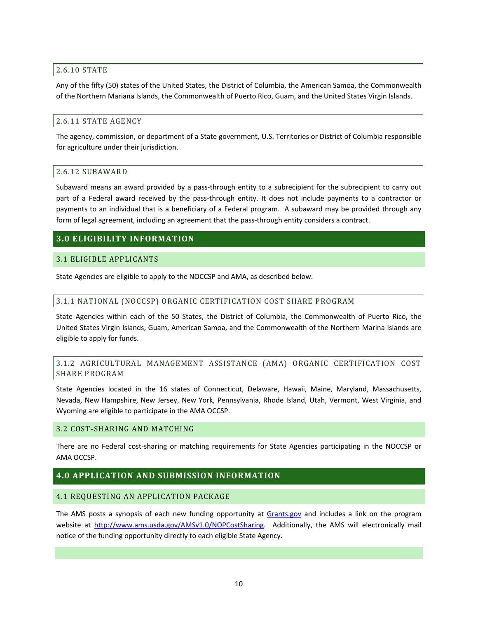#### <span id="page-9-0"></span>2.6.10 STATE

Any of the fifty (50) states of the United States, the District of Columbia, the American Samoa, the Commonwealth of the Northern Mariana Islands, the Commonwealth of Puerto Rico, Guam, and the United States Virgin Islands.

#### <span id="page-9-1"></span>2.6.11 STATE AGENCY

The agency, commission, or department of a State government, U.S. Territories or District of Columbia responsible for agriculture under their jurisdiction.

# <span id="page-9-2"></span>2.6.12 SUBAWARD

Subaward means an award provided by a pass-through entity to a subrecipient for the subrecipient to carry out part of a Federal award received by the pass-through entity. It does not include payments to a contractor or payments to an individual that is a beneficiary of a Federal program. A subaward may be provided through any form of legal agreement, including an agreement that the pass-through entity considers a contract.

# <span id="page-9-3"></span>**3.0 ELIGIBILITY INFORMATION**

# <span id="page-9-10"></span><span id="page-9-4"></span>3.1 ELIGIBLE APPLICANTS

State Agencies are eligible to apply to the NOCCSP and AMA, as described below.

# <span id="page-9-5"></span>3.1.1 NATIONAL (NOCCSP) ORGANIC CERTIFICATION COST SHARE PROGRAM

State Agencies within each of the 50 States, the District of Columbia, the Commonwealth of Puerto Rico, the United States Virgin Islands, Guam, American Samoa, and the Commonwealth of the Northern Marina Islands are eligible to apply for funds.

# <span id="page-9-6"></span>3.1.2 AGRICULTURAL MANAGEMENT ASSISTANCE (AMA) ORGANIC CERTIFICATION COST SHARE PROGRAM

State Agencies located in the 16 states of Connecticut, Delaware, Hawaii, Maine, Maryland, Massachusetts, Nevada, New Hampshire, New Jersey, New York, Pennsylvania, Rhode Island, Utah, Vermont, West Virginia, and Wyoming are eligible to participate in the AMA OCCSP.

#### <span id="page-9-7"></span>3.2 COST-SHARING AND MATCHING

There are no Federal cost-sharing or matching requirements for State Agencies participating in the NOCCSP or AMA OCCSP.

# <span id="page-9-8"></span>**4.0 APPLICATION AND SUBMISSION INFORMATION**

#### <span id="page-9-9"></span>4.1 REQUESTING AN APPLICATION PACKAGE

The AMS posts a synopsis of each new funding opportunity at [Grants.gov](http://www.grants.gov/) and includes a link on the program website at [http://www.ams.usda.gov/AMSv1.0/NOPCostSharing.](http://www.ams.usda.gov/AMSv1.0/NOPCostSharing) Additionally, the AMS will electronically mail notice of the funding opportunity directly to each eligible State Agency.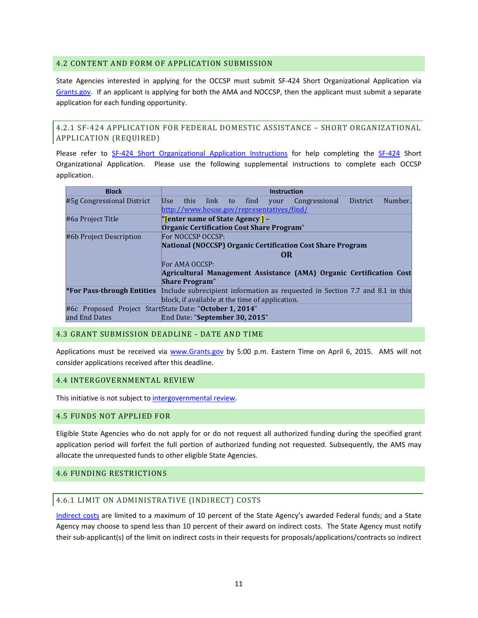#### <span id="page-10-0"></span>4.2 CONTENT AND FORM OF APPLICATION SUBMISSION

State Agencies interested in applying for the OCCSP must submit SF-424 Short Organizational Application via [Grants.gov.](http://www.grants.gov/) If an applicant is applying for both the AMA and NOCCSP, then the applicant must submit a separate application for each funding opportunity.

<span id="page-10-1"></span>4.2.1 SF-424 APPLICATION FOR FEDERAL DOMESTIC ASSISTANCE – SHORT ORGANIZATIONAL APPLICATION (REQUIRED)

Please refer to [SF-424 Short Organizational Application Instructions](http://www.grants.gov/web/grants/form-instructions/sf-424-short-application-attachment-instructions.html) for help completing the [SF-424](http://www.grants.gov/web/grants/forms/sf-424-family.html%23sortby=1) Short Organizational Application. Please use the following supplemental instructions to complete each OCCSP application.

| <b>Block</b>                      | <b>Instruction</b>                                                           |
|-----------------------------------|------------------------------------------------------------------------------|
| #5g Congressional District        | Number.<br>this link to<br>find<br>Congressional<br>District<br>Use<br>your  |
|                                   | http://www.house.gov/representatives/find/                                   |
| #6a Project Title                 | "[enter name of State Agency] -                                              |
|                                   | Organic Certification Cost Share Program"                                    |
| #6b Project Description           | For NOCCSP OCCSP:                                                            |
|                                   | <b>National (NOCCSP) Organic Certification Cost Share Program</b>            |
|                                   | <b>OR</b>                                                                    |
|                                   | For AMA OCCSP:                                                               |
|                                   | Agricultural Management Assistance (AMA) Organic Certification Cost          |
|                                   | <b>Share Program</b> "                                                       |
| <b>*For Pass-through Entities</b> | Include subrecipient information as requested in Section 7.7 and 8.1 in this |
|                                   | block, if available at the time of application.                              |
|                                   | #6c Proposed Project StartState Date: "October 1, 2014"                      |
| and End Dates                     | End Date: "September 30, 2015"                                               |

# <span id="page-10-2"></span>4.3 GRANT SUBMISSION DEADLINE - DATE AND TIME

Applications must be received via [www.Grants.gov](http://www.grants.gov/) by 5:00 p.m. Eastern Time on April 6, 2015. AMS will not consider applications received after this deadline.

#### <span id="page-10-3"></span>4.4 INTERGOVERNMENTAL REVIEW

This initiative is not subject t[o intergovernmental review.](http://www.whitehouse.gov/omb/grants_spoc)

#### <span id="page-10-4"></span>4.5 FUNDS NOT APPLIED FOR

Eligible State Agencies who do not apply for or do not request all authorized funding during the specified grant application period will forfeit the full portion of authorized funding not requested. Subsequently, the AMS may allocate the unrequested funds to other eligible State Agencies.

#### <span id="page-10-6"></span><span id="page-10-5"></span>4.6 FUNDING RESTRICTIONS

#### 4.6.1 LIMIT ON ADMINISTRATIVE (INDIRECT) COSTS

[Indirect costs](http://www.ecfr.gov/cgi-bin/text-idx?SID=f9339223eca71c3d7b069f4421e10110&node=se2.1.200_156&rgn=div8) are limited to a maximum of 10 percent of the State Agency's awarded Federal funds; and a State Agency may choose to spend less than 10 percent of their award on indirect costs. The State Agency must notify their sub-applicant(s) of the limit on indirect costs in their requests for proposals/applications/contracts so indirect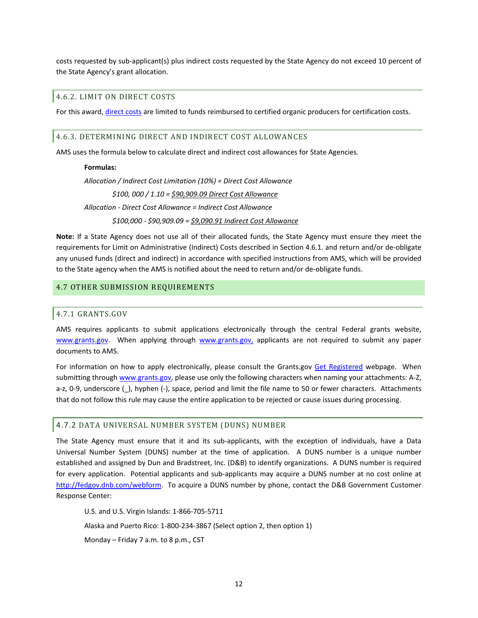costs requested by sub-applicant(s) plus indirect costs requested by the State Agency do not exceed 10 percent of the State Agency's grant allocation.

#### <span id="page-11-0"></span>4.6.2. LIMIT ON DIRECT COSTS

For this award, [direct costs](http://www.ecfr.gov/cgi-bin/text-idx?SID=f9339223eca71c3d7b069f4421e10110&node=se2.1.200_1413&rgn=div8) are limited to funds reimbursed to certified organic producers for certification costs.

#### <span id="page-11-1"></span>4.6.3. DETERMINING DIRECT AND INDIRECT COST ALLOWANCES

AMS uses the formula below to calculate direct and indirect cost allowances for State Agencies.

#### **Formulas:**

*Allocation / Indirect Cost Limitation (10%) = Direct Cost Allowance \$100, 000 / 1.10 = \$90,909.09 Direct Cost Allowance Allocation - Direct Cost Allowance = Indirect Cost Allowance \$100,000 - \$90,909.09 = \$9,090.91 Indirect Cost Allowance*

**Note:** If a State Agency does not use all of their allocated funds, the State Agency must ensure they meet the requirements for Limit on Administrative (Indirect) Costs described in Section 4.6.1. and return and/or de-obligate any unused funds (direct and indirect) in accordance with specified instructions from AMS, which will be provided to the State agency when the AMS is notified about the need to return and/or de-obligate funds.

#### <span id="page-11-3"></span><span id="page-11-2"></span>4.7 OTHER SUBMISSION REQUIREMENTS

#### 4.7.1 GRANTS.GOV

AMS requires applicants to submit applications electronically through the central Federal grants website, [www.grants.gov.](http://www.grants.gov/) When applying through [www.grants.gov,](http://www.grants.gov/) applicants are not required to submit any paper documents to AMS.

For information on how to apply electronically, please consult the Grants.gov [Get Registered](http://www.grants.gov/applicants/get_registered.jsp) webpage. When submitting through [www.grants.gov,](http://www.grants.gov/) please use only the following characters when naming your attachments: A-Z, a-z, 0-9, underscore (\_), hyphen (-), space, period and limit the file name to 50 or fewer characters. Attachments that do not follow this rule may cause the entire application to be rejected or cause issues during processing.

#### <span id="page-11-4"></span>4.7.2 DATA UNIVERSAL NUMBER SYSTEM (DUNS) NUMBER

The State Agency must ensure that it and its sub-applicants, with the exception of individuals, have a Data Universal Number System (DUNS) number at the time of application. A DUNS number is a unique number established and assigned by Dun and Bradstreet, Inc. (D&B) to identify organizations. A DUNS number is required for every application. Potential applicants and sub-applicants may acquire a DUNS number at no cost online a[t](http://fedgov.dnb.com/webform) [http://fedgov.dnb.com/webform.](http://fedgov.dnb.com/webform) To acquire a DUNS number by phone, contact the D&B Government Customer Response Center:

U.S. and U.S. Virgin Islands: 1-866-705-5711 Alaska and Puerto Rico: 1-800-234-3867 (Select option 2, then option 1) Monday – Friday 7 a.m. to 8 p.m., CST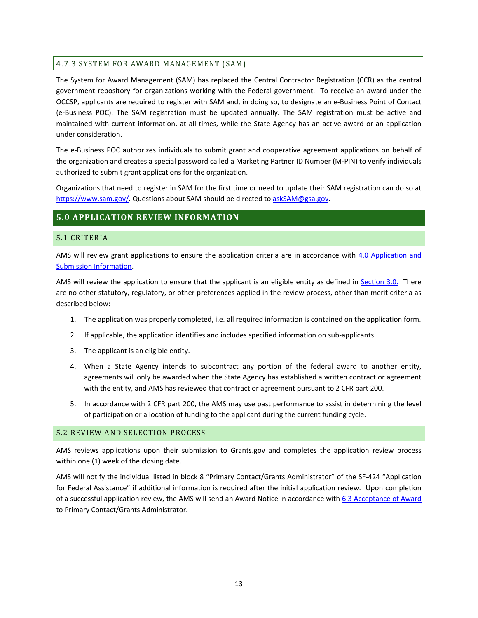# <span id="page-12-0"></span>4.7.3 SYSTEM FOR AWARD MANAGEMENT (SAM)

The System for Award Management (SAM) has replaced the Central Contractor Registration (CCR) as the central government repository for organizations working with the Federal government. To receive an award under the OCCSP, applicants are required to register with SAM and, in doing so, to designate an e-Business Point of Contact (e-Business POC). The SAM registration must be updated annually. The SAM registration must be active and maintained with current information, at all times, while the State Agency has an active award or an application under consideration.

The e-Business POC authorizes individuals to submit grant and cooperative agreement applications on behalf of the organization and creates a special password called a Marketing Partner ID Number (M-PIN) to verify individuals authorized to submit grant applications for the organization.

Organizations that need to register in SAM for the first time or need to update their SAM registration can do so at [https://www.sam.gov/.](https://www.sam.gov/) Questions about SAM should be directed t[o askSAM@gsa.gov.](mailto:askSAM@gsa.gov)

# <span id="page-12-1"></span>**5.0 APPLICATION REVIEW INFORMATION**

# <span id="page-12-2"></span>5.1 CRITERIA

AMS will review grant applications to ensure the application criteria are in accordance with [4.0 Application and](#page-9-8)  [Submission Information.](#page-9-8)

AMS will review the application to ensure that the applicant is an eligible entity as defined in [Section 3.0.](#page-9-10) There are no other statutory, regulatory, or other preferences applied in the review process, other than merit criteria as described below:

- 1. The application was properly completed, i.e. all required information is contained on the application form.
- 2. If applicable, the application identifies and includes specified information on sub-applicants.
- 3. The applicant is an eligible entity.
- 4. When a State Agency intends to subcontract any portion of the federal award to another entity, agreements will only be awarded when the State Agency has established a written contract or agreement with the entity, and AMS has reviewed that contract or agreement pursuant to 2 CFR part 200.
- 5. In accordance with 2 CFR part 200, the AMS may use past performance to assist in determining the level of participation or allocation of funding to the applicant during the current funding cycle.

#### <span id="page-12-3"></span>5.2 REVIEW AND SELECTION PROCESS

AMS reviews applications upon their submission to Grants.gov and completes the application review process within one (1) week of the closing date.

AMS will notify the individual listed in block 8 "Primary Contact/Grants Administrator" of the SF-424 "Application for Federal Assistance" if additional information is required after the initial application review. Upon completion of a successful application review, the AMS will send an Award Notice in accordance with [6.3 Acceptance of Award](#page-15-4) to Primary Contact/Grants Administrator.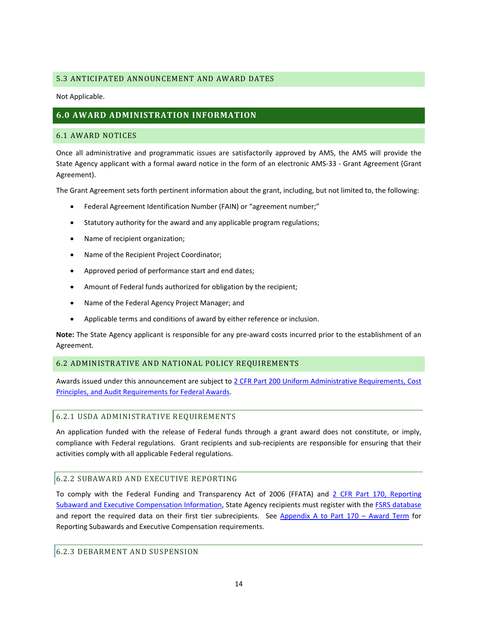# <span id="page-13-0"></span>5.3 ANTICIPATED ANNOUNCEMENT AND AWARD DATES

Not Applicable.

# <span id="page-13-1"></span>**6.0 AWARD ADMINISTRATION INFORMATION**

#### <span id="page-13-2"></span>6.1 AWARD NOTICES

Once all administrative and programmatic issues are satisfactorily approved by AMS, the AMS will provide the State Agency applicant with a formal award notice in the form of an electronic AMS-33 - Grant Agreement (Grant Agreement).

The Grant Agreement sets forth pertinent information about the grant, including, but not limited to, the following:

- Federal Agreement Identification Number (FAIN) or "agreement number;"
- Statutory authority for the award and any applicable program regulations;
- Name of recipient organization;
- Name of the Recipient Project Coordinator;
- Approved period of performance start and end dates;
- Amount of Federal funds authorized for obligation by the recipient;
- Name of the Federal Agency Project Manager; and
- Applicable terms and conditions of award by either reference or inclusion.

**Note:** The State Agency applicant is responsible for any pre-award costs incurred prior to the establishment of an Agreement.

# <span id="page-13-3"></span>6.2 ADMINISTRATIVE AND NATIONAL POLICY REQUIREMENTS

Awards issued under this announcement are subject t[o 2 CFR Part 200 Uniform Administrative Requirements, Cost](http://www.ecfr.gov/cgi-bin/text-idx?node=2:1.1.2.2.1&rgn=div5)  [Principles, and Audit Requirements for Federal Awards.](http://www.ecfr.gov/cgi-bin/text-idx?node=2:1.1.2.2.1&rgn=div5)

#### <span id="page-13-4"></span>6.2.1 USDA ADMINISTRATIVE REQUIREMENTS

An application funded with the release of Federal funds through a grant award does not constitute, or imply, compliance with Federal regulations. Grant recipients and sub-recipients are responsible for ensuring that their activities comply with all applicable Federal regulations.

# <span id="page-13-5"></span>6.2.2 SUBAWARD AND EXECUTIVE REPORTING

To comply with the Federal Funding and Transparency Act of 2006 (FFATA) and [2 CFR Part 170, Reporting](http://www.ecfr.gov/cgi-bin/text-idx?c=ecfr&tpl=/ecfrbrowse/Title02/2cfr170_main_02.tpl)  [Subaward and Executive Compensation Information,](http://www.ecfr.gov/cgi-bin/text-idx?c=ecfr&tpl=/ecfrbrowse/Title02/2cfr170_main_02.tpl) State Agency recipients must register with the [FSRS database](https://www.fsrs.gov/) and report the required data on their first tier subrecipients. See [Appendix A to Part 170 –](http://www.ecfr.gov/cgi-bin/text-idx?SID=536af92d717bdffafd054c404dcd1035&node=ap2.1.170_1330.a&rgn=div9) Award Term for Reporting Subawards and Executive Compensation requirements.

# <span id="page-13-6"></span>6.2.3 DEBARMENT AND SUSPENSION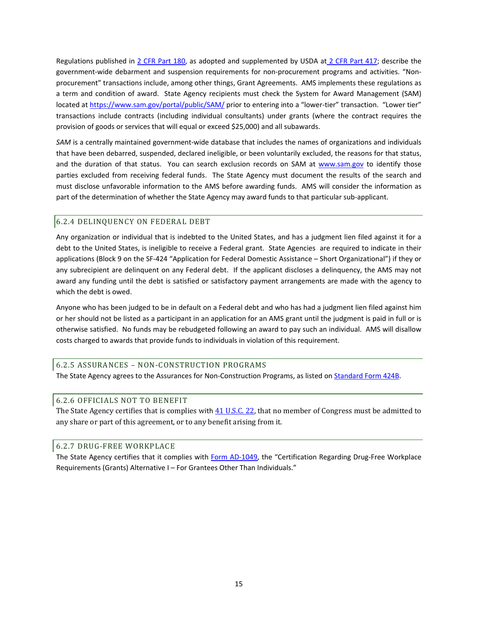Regulations published in [2 CFR Part 180,](http://www.ecfr.gov/cgi-bin/text-idx?tpl=/ecfrbrowse/Title02/2cfr180_main_02.tpl) as adopted and supplemented by USDA at [2 CFR Part 417;](http://www.ecfr.gov/cgi-bin/text-idx?SID=0c6ddd44cad7f4cc20f6d4e9f81acba1&node=pt2.1.417&rgn=div5) describe the government-wide debarment and suspension requirements for non-procurement programs and activities. "Nonprocurement" transactions include, among other things, Grant Agreements. AMS implements these regulations as a term and condition of award. State Agency recipients must check the System for Award Management (SAM) located at<https://www.sam.gov/portal/public/SAM/> prior to entering into a "lower-tier" transaction. "Lower tier" transactions include contracts (including individual consultants) under grants (where the contract requires the provision of goods or services that will equal or exceed \$25,000) and all subawards.

*SAM* is a centrally maintained government-wide database that includes the names of organizations and individuals that have been debarred, suspended, declared ineligible, or been voluntarily excluded, the reasons for that status, and the duration of that status. You can search exclusion records on SAM at [www.sam.gov](http://www.sam.gov/) to identify those parties excluded from receiving federal funds. The State Agency must document the results of the search and must disclose unfavorable information to the AMS before awarding funds. AMS will consider the information as part of the determination of whether the State Agency may award funds to that particular sub-applicant.

# <span id="page-14-0"></span>6.2.4 DELINQUENCY ON FEDERAL DEBT

Any organization or individual that is indebted to the United States, and has a judgment lien filed against it for a debt to the United States, is ineligible to receive a Federal grant. State Agencies are required to indicate in their applications (Block 9 on the SF-424 "Application for Federal Domestic Assistance – Short Organizational") if they or any subrecipient are delinquent on any Federal debt. If the applicant discloses a delinquency, the AMS may not award any funding until the debt is satisfied or satisfactory payment arrangements are made with the agency to which the debt is owed.

Anyone who has been judged to be in default on a Federal debt and who has had a judgment lien filed against him or her should not be listed as a participant in an application for an AMS grant until the judgment is paid in full or is otherwise satisfied. No funds may be rebudgeted following an award to pay such an individual. AMS will disallow costs charged to awards that provide funds to individuals in violation of this requirement.

#### <span id="page-14-1"></span>6.2.5 ASSURANCES – NON-CONSTRUCTION PROGRAMS

The State Agency agrees to the Assurances for Non-Construction Programs, as listed o[n Standard Form 424B.](http://apply07.grants.gov/apply/forms/sample/SF424B-V1.1.pdf)

# <span id="page-14-2"></span>6.2.6 OFFICIALS NOT TO BENEFIT

The State Agency certifies that is complies with  $41$  U.S.C. 22, that no member of Congress must be admitted to any share or part of this agreement, or to any benefit arising from it.

# <span id="page-14-3"></span>6.2.7 DRUG-FREE WORKPLACE

The State Agency certifies that it complies with [Form AD-1049,](http://www.ocio.usda.gov/sites/default/files/docs/2012/AD1049-F-05-90.pdf) the "Certification Regarding Drug-Free Workplace Requirements (Grants) Alternative I – For Grantees Other Than Individuals."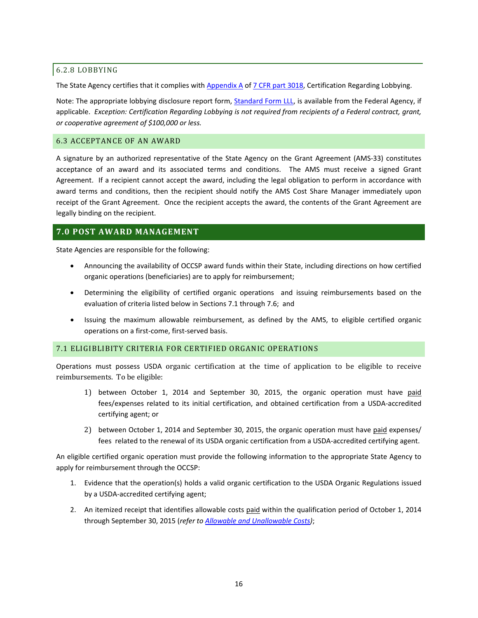#### <span id="page-15-0"></span>6.2.8 LOBBYING

The State Agency certifies that it complies with [Appendix A](http://www.gpo.gov/fdsys/pkg/CFR-2011-title7-vol15/pdf/CFR-2011-title7-vol15-part3018-appA.pdf) of [7 CFR](http://www.gpo.gov/fdsys/pkg/CFR-2011-title7-vol15/pdf/CFR-2011-title7-vol15-part3018.pdf) part 3018, Certification Regarding Lobbying.

Note: The appropriate lobbying disclosure report form, [Standard Form LLL,](http://www.whitehouse.gov/sites/default/files/omb/grants/sflll.pdf) is available from the Federal Agency, if applicable. *Exception: Certification Regarding Lobbying is not required from recipients of a Federal contract, grant, or cooperative agreement of \$100,000 or less.*

# <span id="page-15-4"></span><span id="page-15-1"></span>6.3 ACCEPTANCE OF AN AWARD

A signature by an authorized representative of the State Agency on the Grant Agreement (AMS-33) constitutes acceptance of an award and its associated terms and conditions. The AMS must receive a signed Grant Agreement. If a recipient cannot accept the award, including the legal obligation to perform in accordance with award terms and conditions, then the recipient should notify the AMS Cost Share Manager immediately upon receipt of the Grant Agreement. Once the recipient accepts the award, the contents of the Grant Agreement are legally binding on the recipient.

# <span id="page-15-2"></span>**7.0 POST AWARD MANAGEMENT**

State Agencies are responsible for the following:

- Announcing the availability of OCCSP award funds within their State, including directions on how certified organic operations (beneficiaries) are to apply for reimbursement;
- Determining the eligibility of certified organic operations and issuing reimbursements based on the evaluation of criteria listed below in Sections 7.1 through 7.6; and
- Issuing the maximum allowable reimbursement, as defined by the AMS, to eligible certified organic operations on a first-come, first-served basis.

#### <span id="page-15-3"></span>7.1 ELIGIBLIBITY CRITERIA FOR CERTIFIED ORGANIC OPERATIONS

Operations must possess USDA organic certification at the time of application to be eligible to receive reimbursements. To be eligible:

- 1) between October 1, 2014 and September 30, 2015, the organic operation must have paid fees/expenses related to its initial certification, and obtained certification from a USDA-accredited certifying agent; or
- 2) between October 1, 2014 and September 30, 2015, the organic operation must have paid expenses/ fees related to the renewal of its USDA organic certification from a USDA-accredited certifying agent.

An eligible certified organic operation must provide the following information to the appropriate State Agency to apply for reimbursement through the OCCSP:

- 1. Evidence that the operation(s) holds a valid organic certification to the USDA Organic Regulations issued by a USDA-accredited certifying agent;
- 2. An itemized receipt that identifies allowable costs paid within the qualification period of October 1, 2014 through September 30, 2015 (*refer to Allowable and Unallowable Costs)*;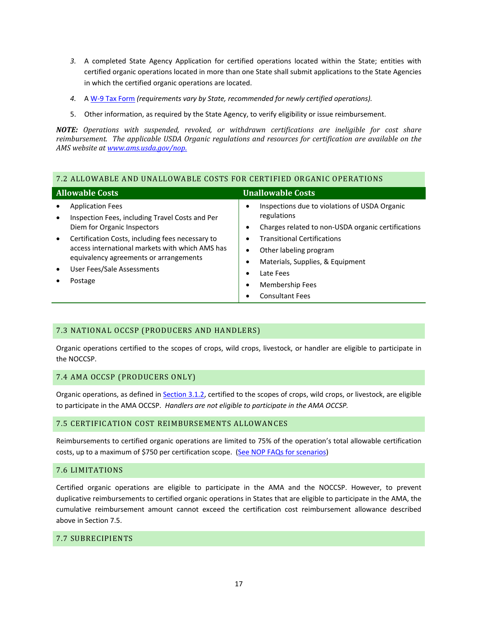- *3.* A completed State Agency Application for certified operations located within the State; entities with certified organic operations located in more than one State shall submit applications to the State Agencies in which the certified organic operations are located.
- *4.* A [W-9 Tax](http://www.irs.gov/pub/irs-pdf/fw9.pdf) Form *(requirements vary by State, recommended for newly certified operations).*
- 5. Other information, as required by the State Agency, to verify eligibility or issue reimbursement.

*NOTE: Operations with suspended, revoked, or withdrawn certifications are ineligible for cost share reimbursement. The applicable USDA Organic regulations and resources for certification are available on the AMS website a[t www.ams.usda.gov/nop](http://www.ams.usda.gov/nop.).*

# <span id="page-16-0"></span>7.2 ALLOWABLE AND UNALLOWABLE COSTS FOR CERTIFIED ORGANIC OPERATIONS

| <b>Allowable Costs</b>                                                                                                                                                                                                                                                                                                                     | <b>Unallowable Costs</b>                                                                                                                                                                                                                                      |
|--------------------------------------------------------------------------------------------------------------------------------------------------------------------------------------------------------------------------------------------------------------------------------------------------------------------------------------------|---------------------------------------------------------------------------------------------------------------------------------------------------------------------------------------------------------------------------------------------------------------|
| <b>Application Fees</b><br>Inspection Fees, including Travel Costs and Per<br>$\bullet$<br>Diem for Organic Inspectors<br>Certification Costs, including fees necessary to<br>$\bullet$<br>access international markets with which AMS has<br>equivalency agreements or arrangements<br>User Fees/Sale Assessments<br>$\bullet$<br>Postage | Inspections due to violations of USDA Organic<br>regulations<br>Charges related to non-USDA organic certifications<br><b>Transitional Certifications</b><br>Other labeling program<br>Materials, Supplies, & Equipment<br>Late Fees<br><b>Membership Fees</b> |
|                                                                                                                                                                                                                                                                                                                                            | <b>Consultant Fees</b>                                                                                                                                                                                                                                        |

# <span id="page-16-1"></span>7.3 NATIONAL OCCSP (PRODUCERS AND HANDLERS)

Organic operations certified to the scopes of crops, wild crops, livestock, or handler are eligible to participate in the NOCCSP.

# <span id="page-16-2"></span>7.4 AMA OCCSP (PRODUCERS ONLY)

Organic operations, as defined in [Section 3.1.2,](#page-9-6) certified to the scopes of crops, wild crops, or livestock, are eligible to participate in the AMA OCCSP. *Handlers are not eligible to participate in the AMA OCCSP.*

#### <span id="page-16-3"></span>7.5 CERTIFICATION COST REIMBURSEMENTS ALLOWANCES

Reimbursements to certified organic operations are limited to 75% of the operation's total allowable certification costs, up to a maximum of \$750 per certification scope. (See [NOP FAQs for scenarios\)](http://www.ams.usda.gov/AMSv1.0/getfile?dDocName=STELPRDC5107879)

#### <span id="page-16-4"></span>7.6 LIMITATIONS

Certified organic operations are eligible to participate in the AMA and the NOCCSP. However, to prevent duplicative reimbursements to certified organic operations in States that are eligible to participate in the AMA, the cumulative reimbursement amount cannot exceed the certification cost reimbursement allowance described above in Section 7.5.

# <span id="page-16-5"></span>7.7 SUBRECIPIENTS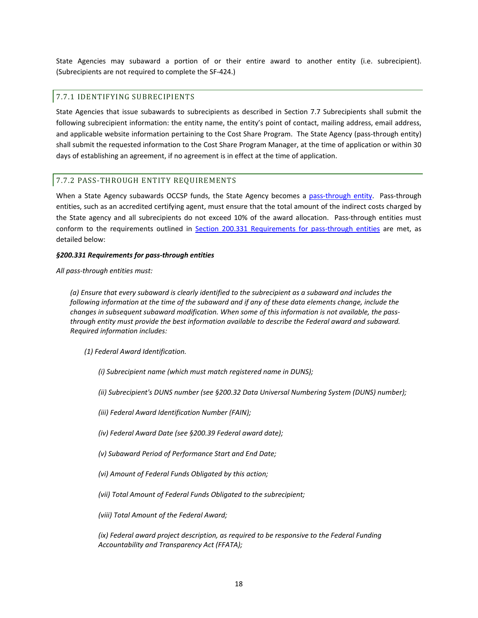State Agencies may subaward a portion of or their entire award to another entity (i.e. subrecipient). (Subrecipients are not required to complete the SF-424.)

# <span id="page-17-0"></span>7.7.1 IDENTIFYING SUBRECIPIENTS

State Agencies that issue subawards to subrecipients as described in Section 7.7 Subrecipients shall submit the following subrecipient information: the entity name, the entity's point of contact, mailing address, email address, and applicable website information pertaining to the Cost Share Program. The State Agency (pass-through entity) shall submit the requested information to the Cost Share Program Manager, at the time of application or within 30 days of establishing an agreement, if no agreement is in effect at the time of application.

# <span id="page-17-1"></span>7.7.2 PASS-THROUGH ENTITY REQUIREMENTS

When a State Agency subawards OCCSP funds, the State Agency becomes a [pass-through entity.](#page-7-0) Pass-through entities, such as an accredited certifying agent, must ensure that the total amount of the indirect costs charged by the State agency and all subrecipients do not exceed 10% of the award allocation. Pass-through entities must conform to the requirements outlined in [Section 200.331 Requirements for pass-through entities](http://www.ecfr.gov/cgi-bin/text-idx?SID=fe4c558410e014c1eb5e5107b64fbf81&node=pt2.1.200&rgn=div5%23se2.1.200_1331) are met, as detailed below:

#### *§200.331 Requirements for pass-through entities*

*All pass-through entities must:*

*(a) Ensure that every subaward is clearly identified to the subrecipient as a subaward and includes the following information at the time of the subaward and if any of these data elements change, include the changes in subsequent subaward modification. When some of this information is not available, the passthrough entity must provide the best information available to describe the Federal award and subaward. Required information includes:*

*(1) Federal Award Identification.*

*(i) Subrecipient name (which must match registered name in DUNS);*

*(ii) Subrecipient's DUNS number (see §200.32 Data Universal Numbering System (DUNS) number);*

*(iii) Federal Award Identification Number (FAIN);*

*(iv) Federal Award Date (see §200.39 Federal award date);*

*(v) Subaward Period of Performance Start and End Date;*

*(vi) Amount of Federal Funds Obligated by this action;*

*(vii) Total Amount of Federal Funds Obligated to the subrecipient;*

*(viii) Total Amount of the Federal Award;*

*(ix) Federal award project description, as required to be responsive to the Federal Funding Accountability and Transparency Act (FFATA);*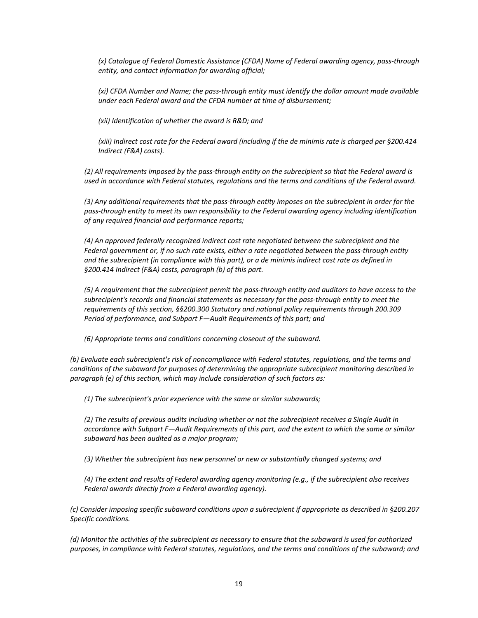*(x) Catalogue of Federal Domestic Assistance (CFDA) Name of Federal awarding agency, pass-through entity, and contact information for awarding official;*

*(xi) CFDA Number and Name; the pass-through entity must identify the dollar amount made available under each Federal award and the CFDA number at time of disbursement;*

*(xii) Identification of whether the award is R&D; and*

*(xiii) Indirect cost rate for the Federal award (including if the de minimis rate is charged per §200.414 Indirect (F&A) costs).*

*(2) All requirements imposed by the pass-through entity on the subrecipient so that the Federal award is used in accordance with Federal statutes, regulations and the terms and conditions of the Federal award.*

*(3) Any additional requirements that the pass-through entity imposes on the subrecipient in order for the pass-through entity to meet its own responsibility to the Federal awarding agency including identification of any required financial and performance reports;*

*(4) An approved federally recognized indirect cost rate negotiated between the subrecipient and the Federal government or, if no such rate exists, either a rate negotiated between the pass-through entity and the subrecipient (in compliance with this part), or a de minimis indirect cost rate as defined in §200.414 Indirect (F&A) costs, paragraph (b) of this part.*

*(5) A requirement that the subrecipient permit the pass-through entity and auditors to have access to the subrecipient's records and financial statements as necessary for the pass-through entity to meet the requirements of this section, §§200.300 Statutory and national policy requirements through 200.309 Period of performance, and Subpart F—Audit Requirements of this part; and*

*(6) Appropriate terms and conditions concerning closeout of the subaward.*

*(b) Evaluate each subrecipient's risk of noncompliance with Federal statutes, regulations, and the terms and conditions of the subaward for purposes of determining the appropriate subrecipient monitoring described in paragraph (e) of this section, which may include consideration of such factors as:*

*(1) The subrecipient's prior experience with the same or similar subawards;*

*(2) The results of previous audits including whether or not the subrecipient receives a Single Audit in accordance with Subpart F—Audit Requirements of this part, and the extent to which the same or similar subaward has been audited as a major program;*

*(3) Whether the subrecipient has new personnel or new or substantially changed systems; and*

*(4) The extent and results of Federal awarding agency monitoring (e.g., if the subrecipient also receives Federal awards directly from a Federal awarding agency).*

*(c) Consider imposing specific subaward conditions upon a subrecipient if appropriate as described in §200.207 Specific conditions.*

*(d) Monitor the activities of the subrecipient as necessary to ensure that the subaward is used for authorized purposes, in compliance with Federal statutes, regulations, and the terms and conditions of the subaward; and*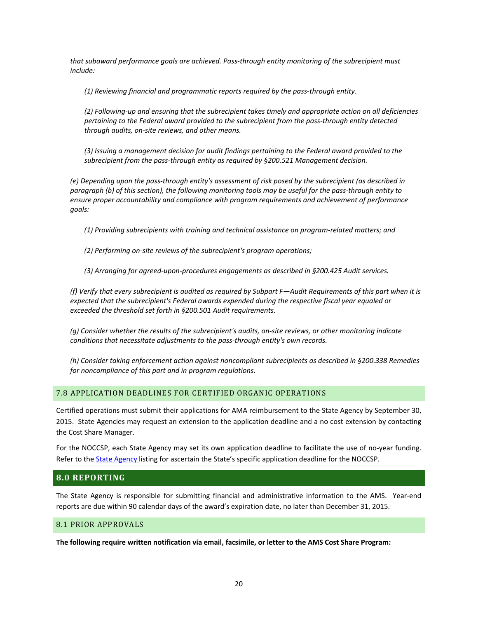*that subaward performance goals are achieved. Pass-through entity monitoring of the subrecipient must include:*

*(1) Reviewing financial and programmatic reports required by the pass-through entity.*

*(2) Following-up and ensuring that the subrecipient takes timely and appropriate action on all deficiencies pertaining to the Federal award provided to the subrecipient from the pass-through entity detected through audits, on-site reviews, and other means.*

*(3) Issuing a management decision for audit findings pertaining to the Federal award provided to the subrecipient from the pass-through entity as required by §200.521 Management decision.*

*(e) Depending upon the pass-through entity's assessment of risk posed by the subrecipient (as described in paragraph (b) of this section), the following monitoring tools may be useful for the pass-through entity to ensure proper accountability and compliance with program requirements and achievement of performance goals:*

*(1) Providing subrecipients with training and technical assistance on program-related matters; and*

*(2) Performing on-site reviews of the subrecipient's program operations;*

*(3) Arranging for agreed-upon-procedures engagements as described in §200.425 Audit services.*

*(f) Verify that every subrecipient is audited as required by Subpart F—Audit Requirements of this part when it is expected that the subrecipient's Federal awards expended during the respective fiscal year equaled or exceeded the threshold set forth in §200.501 Audit requirements.*

*(g) Consider whether the results of the subrecipient's audits, on-site reviews, or other monitoring indicate conditions that necessitate adjustments to the pass-through entity's own records.*

*(h) Consider taking enforcement action against noncompliant subrecipients as described in §200.338 Remedies for noncompliance of this part and in program regulations.*

#### <span id="page-19-0"></span>7.8 APPLICATION DEADLINES FOR CERTIFIED ORGANIC OPERATIONS

Certified operations must submit their applications for AMA reimbursement to the State Agency by September 30, 2015. State Agencies may request an extension to the application deadline and a no cost extension by contacting the Cost Share Manager.

For the NOCCSP, each State Agency may set its own application deadline to facilitate the use of no-year funding. Refer to the **State Agency listing for ascertain the State's specific application deadline for the NOCCSP**.

#### <span id="page-19-1"></span>**8.0 REPORTING**

The State Agency is responsible for submitting financial and administrative information to the AMS. Year-end reports are due within 90 calendar days of the award's expiration date, no later than December 31, 2015.

#### <span id="page-19-2"></span>8.1 PRIOR APPROVALS

**The following require written notification via email, facsimile, or letter to the AMS Cost Share Program:**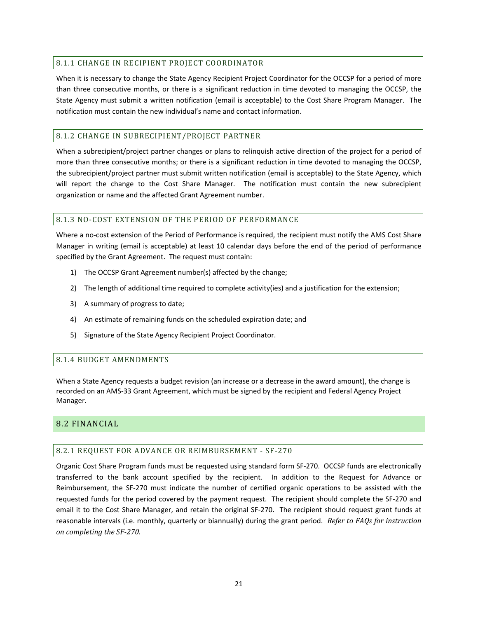# <span id="page-20-0"></span>8.1.1 CHANGE IN RECIPIENT PROJECT COORDINATOR

When it is necessary to change the State Agency Recipient Project Coordinator for the OCCSP for a period of more than three consecutive months, or there is a significant reduction in time devoted to managing the OCCSP, the State Agency must submit a written notification (email is acceptable) to the Cost Share Program Manager. The notification must contain the new individual's name and contact information.

# <span id="page-20-1"></span>8.1.2 CHANGE IN SUBRECIPIENT/PROJECT PARTNER

When a subrecipient/project partner changes or plans to relinquish active direction of the project for a period of more than three consecutive months; or there is a significant reduction in time devoted to managing the OCCSP, the subrecipient/project partner must submit written notification (email is acceptable) to the State Agency, which will report the change to the Cost Share Manager. The notification must contain the new subrecipient organization or name and the affected Grant Agreement number.

#### <span id="page-20-2"></span>8.1.3 NO-COST EXTENSION OF THE PERIOD OF PERFORMANCE

Where a no-cost extension of the Period of Performance is required, the recipient must notify the AMS Cost Share Manager in writing (email is acceptable) at least 10 calendar days before the end of the period of performance specified by the Grant Agreement. The request must contain:

- 1) The OCCSP Grant Agreement number(s) affected by the change;
- 2) The length of additional time required to complete activity(ies) and a justification for the extension;
- 3) A summary of progress to date;
- 4) An estimate of remaining funds on the scheduled expiration date; and
- 5) Signature of the State Agency Recipient Project Coordinator.

# <span id="page-20-3"></span>8.1.4 BUDGET AMENDMENTS

When a State Agency requests a budget revision (an increase or a decrease in the award amount), the change is recorded on an AMS-33 Grant Agreement, which must be signed by the recipient and Federal Agency Project Manager.

# <span id="page-20-5"></span><span id="page-20-4"></span>8.2 FINANCIAL

# 8.2.1 REQUEST FOR ADVANCE OR REIMBURSEMENT - SF-270

Organic Cost Share Program funds must be requested using standard form SF-270. OCCSP funds are electronically transferred to the bank account specified by the recipient. In addition to the Request for Advance or Reimbursement, the SF-270 must indicate the number of certified organic operations to be assisted with the requested funds for the period covered by the payment request. The recipient should complete the SF-270 and email it to the Cost Share Manager, and retain the original SF-270. The recipient should request grant funds at reasonable intervals (i.e. monthly, quarterly or biannually) during the grant period. *Refer to FAQs for instruction on completing the SF-270.*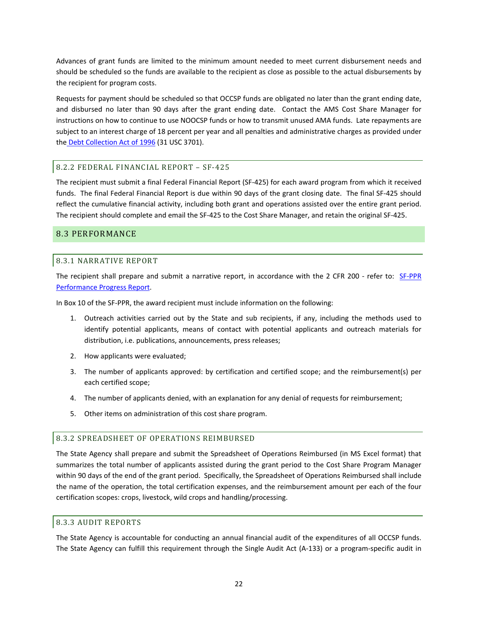Advances of grant funds are limited to the minimum amount needed to meet current disbursement needs and should be scheduled so the funds are available to the recipient as close as possible to the actual disbursements by the recipient for program costs.

Requests for payment should be scheduled so that OCCSP funds are obligated no later than the grant ending date, and disbursed no later than 90 days after the grant ending date. Contact the AMS Cost Share Manager for instructions on how to continue to use NOOCSP funds or how to transmit unused AMA funds. Late repayments are subject to an interest charge of 18 percent per year and all penalties and administrative charges as provided under the [Debt Collection Act of 1996](http://fms.treas.gov/news/factsheets/dcia.html) (31 USC 3701).

# <span id="page-21-0"></span>8.2.2 FEDERAL FINANCIAL REPORT – SF-425

The recipient must submit a final Federal Financial Report (SF-425) for each award program from which it received funds. The final Federal Financial Report is due within 90 days of the grant closing date. The final SF-425 should reflect the cumulative financial activity, including both grant and operations assisted over the entire grant period. The recipient should complete and email the SF-425 to the Cost Share Manager, and retain the original SF-425.

# <span id="page-21-2"></span><span id="page-21-1"></span>8.3 PERFORMANCE

# 8.3.1 NARRATIVE REPORT

The recipient shall prepare and submit a narrative report, in accordance with the 2 CFR 200 - refer to: [SF-PPR](http://www.whitehouse.gov/sites/default/files/omb/assets/omb/grants/approved_forms/sf-ppr.pdf)  [Performance Progress Report.](http://www.whitehouse.gov/sites/default/files/omb/assets/omb/grants/approved_forms/sf-ppr.pdf)

In Box 10 of the SF-PPR, the award recipient must include information on the following:

- 1. Outreach activities carried out by the State and sub recipients, if any, including the methods used to identify potential applicants, means of contact with potential applicants and outreach materials for distribution, i.e. publications, announcements, press releases;
- 2. How applicants were evaluated;
- 3. The number of applicants approved: by certification and certified scope; and the reimbursement(s) per each certified scope;
- 4. The number of applicants denied, with an explanation for any denial of requests for reimbursement;
- 5. Other items on administration of this cost share program.

# <span id="page-21-3"></span>8.3.2 SPREADSHEET OF OPERATIONS REIMBURSED

The State Agency shall prepare and submit the Spreadsheet of Operations Reimbursed (in MS Excel format) that summarizes the total number of applicants assisted during the grant period to the Cost Share Program Manager within 90 days of the end of the grant period. Specifically, the Spreadsheet of Operations Reimbursed shall include the name of the operation, the total certification expenses, and the reimbursement amount per each of the four certification scopes: crops, livestock, wild crops and handling/processing.

#### <span id="page-21-4"></span>8.3.3 AUDIT REPORTS

The State Agency is accountable for conducting an annual financial audit of the expenditures of all OCCSP funds. The State Agency can fulfill this requirement through the Single Audit Act (A-133) or a program-specific audit in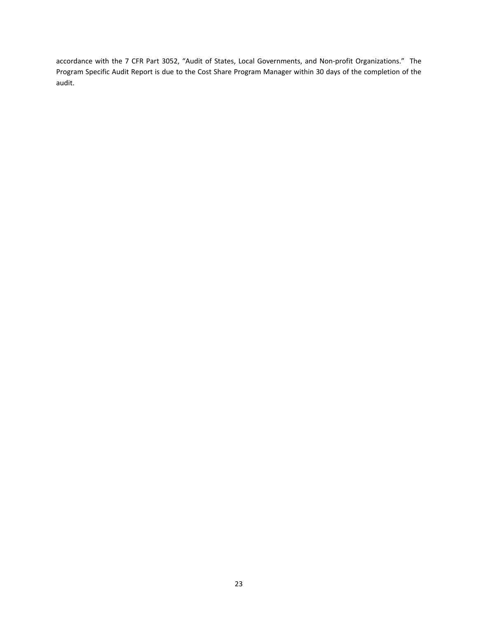accordance with the 7 CFR Part 3052, "Audit of States, Local Governments, and Non-profit Organizations." The Program Specific Audit Report is due to the Cost Share Program Manager within 30 days of the completion of the audit.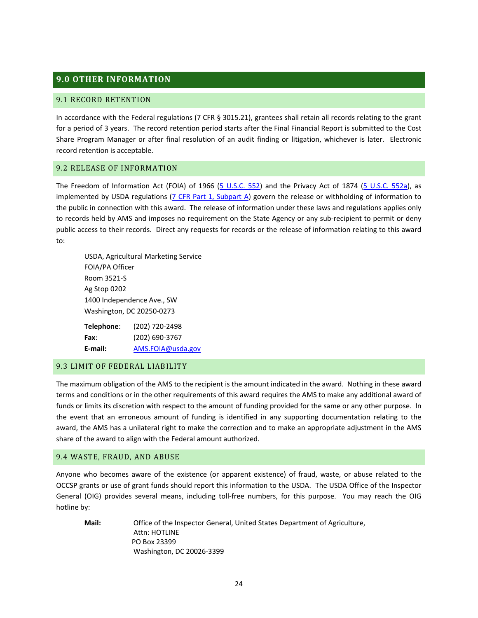# <span id="page-23-0"></span>**9.0 OTHER INFORMATION**

#### <span id="page-23-1"></span>9.1 RECORD RETENTION

In accordance with the Federal regulations (7 CFR § 3015.21), grantees shall retain all records relating to the grant for a period of 3 years. The record retention period starts after the Final Financial Report is submitted to the Cost Share Program Manager or after final resolution of an audit finding or litigation, whichever is later. Electronic record retention is acceptable.

#### <span id="page-23-2"></span>9.2 RELEASE OF INFORMATION

The Freedom of Information Act (FOIA) of 1966 [\(5 U.S.C. 552\)](http://uscode.house.gov/uscode-cgi/fastweb.exe?getdoc+uscview+t05t08+26+1++()%20%20AND%20((5)%20ADJ%20USC):CITE%20AND%20(USC%20w/10%20(552)):CITE%20%20%20%20%20%20%20%20%20) and the Privacy Act of 1874 [\(5 U.S.C. 552a\)](http://uscode.house.gov/uscode-cgi/fastweb.exe?getdoc+uscview+t05t08+27+1++()%20%20AND%20(), as implemented by USDA regulations [\(7 CFR Part 1, Subpart A\)](http://ecfr.gpoaccess.gov/cgi/t/text/text-idx?c=ecfr&sid=a6b0a23529c3af61dc92548a5a88f1c3&rgn=div8&view=text&node=7:1.1.1.1.1.1.13.1&idno=7) govern the release or withholding of information to the public in connection with this award. The release of information under these laws and regulations applies only to records held by AMS and imposes no requirement on the State Agency or any sub-recipient to permit or deny public access to their records. Direct any requests for records or the release of information relating to this award to:

USDA, Agricultural Marketing Service FOIA/PA Officer Room 3521-S Ag Stop 0202 1400 Independence Ave., SW Washington, DC 20250-0273

**Telephone**: (202) 720-2498 **Fax**: (202) 690-3767 **E-mail:** [AMS.FOIA@usda.gov](mailto:AMS.FOIA@usda.gov)

#### <span id="page-23-3"></span>9.3 LIMIT OF FEDERAL LIABILITY

The maximum obligation of the AMS to the recipient is the amount indicated in the award. Nothing in these award terms and conditions or in the other requirements of this award requires the AMS to make any additional award of funds or limits its discretion with respect to the amount of funding provided for the same or any other purpose. In the event that an erroneous amount of funding is identified in any supporting documentation relating to the award, the AMS has a unilateral right to make the correction and to make an appropriate adjustment in the AMS share of the award to align with the Federal amount authorized.

#### <span id="page-23-4"></span>9.4 WASTE, FRAUD, AND ABUSE

Anyone who becomes aware of the existence (or apparent existence) of fraud, waste, or abuse related to the OCCSP grants or use of grant funds should report this information to the USDA. The USDA Office of the Inspector General (OIG) provides several means, including toll-free numbers, for this purpose. You may reach the OIG hotline by:

**Mail:** Office of the Inspector General, United States Department of Agriculture, Attn: HOTLINE PO Box 23399 Washington, DC 20026-3399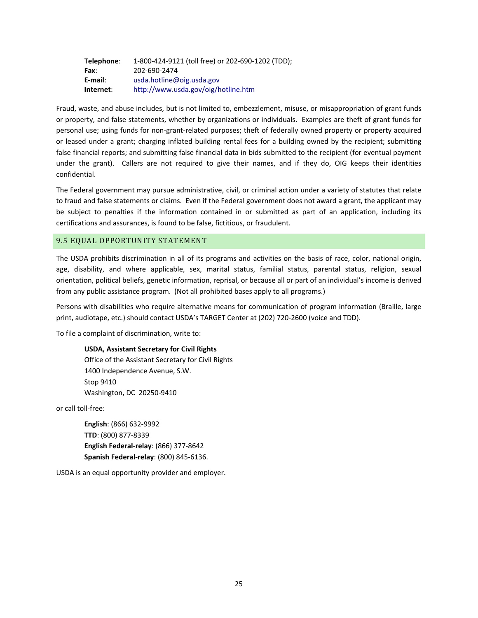| Telephone: | 1-800-424-9121 (toll free) or 202-690-1202 (TDD); |
|------------|---------------------------------------------------|
| Fax:       | 202-690-2474                                      |
| E-mail:    | usda.hotline@oig.usda.gov                         |
| Internet:  | http://www.usda.gov/oig/hotline.htm               |

Fraud, waste, and abuse includes, but is not limited to, embezzlement, misuse, or misappropriation of grant funds or property, and false statements, whether by organizations or individuals. Examples are theft of grant funds for personal use; using funds for non-grant-related purposes; theft of federally owned property or property acquired or leased under a grant; charging inflated building rental fees for a building owned by the recipient; submitting false financial reports; and submitting false financial data in bids submitted to the recipient (for eventual payment under the grant). Callers are not required to give their names, and if they do, OIG keeps their identities confidential.

The Federal government may pursue administrative, civil, or criminal action under a variety of statutes that relate to fraud and false statements or claims. Even if the Federal government does not award a grant, the applicant may be subject to penalties if the information contained in or submitted as part of an application, including its certifications and assurances, is found to be false, fictitious, or fraudulent.

# <span id="page-24-0"></span>9.5 EQUAL OPPORTUNITY STATEMENT

The USDA prohibits discrimination in all of its programs and activities on the basis of race, color, national origin, age, disability, and where applicable, sex, marital status, familial status, parental status, religion, sexual orientation, political beliefs, genetic information, reprisal, or because all or part of an individual's income is derived from any public assistance program. (Not all prohibited bases apply to all programs.)

Persons with disabilities who require alternative means for communication of program information (Braille, large print, audiotape, etc.) should contact USDA's TARGET Center at (202) 720-2600 (voice and TDD).

To file a complaint of discrimination, write to:

#### **USDA, Assistant Secretary for Civil Rights**

Office of the Assistant Secretary for Civil Rights 1400 Independence Avenue, S.W. Stop 9410 Washington, DC 20250-9410

or call toll-free:

**English**: (866) 632-9992 **TTD**: (800) 877-8339 **English Federal-relay**: (866) 377-8642 **Spanish Federal-relay**: (800) 845-6136.

USDA is an equal opportunity provider and employer.